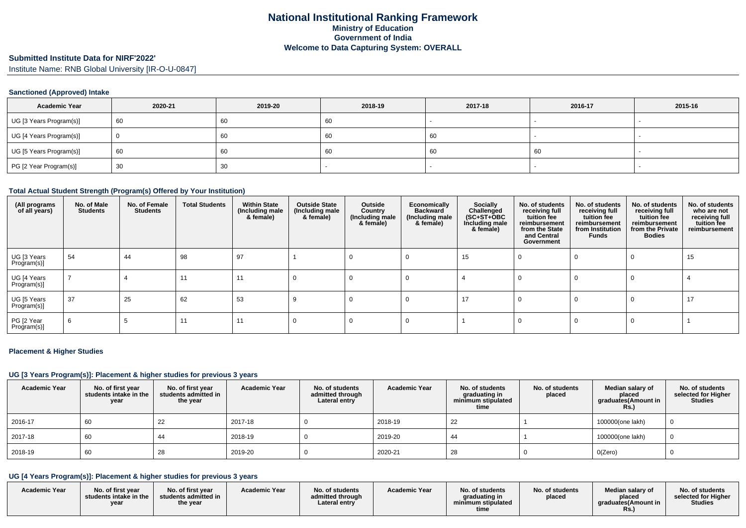#### **Submitted Institute Data for NIRF'2022'**

Institute Name: RNB Global University [IR-O-U-0847]

#### **Sanctioned (Approved) Intake**

| <b>Academic Year</b>    | 2020-21 | 2019-20 | 2018-19 | 2017-18 | 2016-17 | 2015-16                  |
|-------------------------|---------|---------|---------|---------|---------|--------------------------|
| UG [3 Years Program(s)] | 60      | 60      | 60      |         |         | $\overline{\phantom{a}}$ |
| UG [4 Years Program(s)] |         | -60     | 60      | -60     |         |                          |
| UG [5 Years Program(s)] | 60      | 60      | -60     | 60      | 60      | $\overline{\phantom{a}}$ |
| PG [2 Year Program(s)]  | 30      | 30      |         |         |         |                          |

#### **Total Actual Student Strength (Program(s) Offered by Your Institution)**

| (All programs<br>of all years) | No. of Male<br><b>Students</b> | No. of Female<br><b>Students</b> | <b>Total Students</b> | <b>Within State</b><br>(Including male<br>& female) | <b>Outside State</b><br>(Including male<br>& female) | Outside<br>Country<br>(Including male<br>& female) | Economically<br><b>Backward</b><br>(Including male<br>& female) | <b>Socially</b><br>Challenged<br>$(SC+ST+OBC)$<br>Including male<br>& female) | No. of students<br>receiving full<br>tuition fee<br>reimbursement<br>from the State<br>and Central<br>Government | No. of students<br>receiving full<br>tuition fee<br>reimbursement<br>from Institution<br><b>Funds</b> | No. of students<br>receiving full<br>tuition fee<br>reimbursement<br>from the Private<br><b>Bodies</b> | No. of students<br>who are not<br>receiving full<br>tuition fee<br>reimbursement |
|--------------------------------|--------------------------------|----------------------------------|-----------------------|-----------------------------------------------------|------------------------------------------------------|----------------------------------------------------|-----------------------------------------------------------------|-------------------------------------------------------------------------------|------------------------------------------------------------------------------------------------------------------|-------------------------------------------------------------------------------------------------------|--------------------------------------------------------------------------------------------------------|----------------------------------------------------------------------------------|
| UG [3 Years<br>Program(s)]     | 54                             | 44                               | 98                    | 97                                                  |                                                      |                                                    |                                                                 | 15                                                                            |                                                                                                                  |                                                                                                       |                                                                                                        | 15                                                                               |
| UG [4 Years<br>Program(s)]     |                                |                                  |                       | 1 <sup>1</sup>                                      |                                                      |                                                    |                                                                 |                                                                               |                                                                                                                  |                                                                                                       |                                                                                                        |                                                                                  |
| UG [5 Years<br>Program(s)]     | 37                             | 25                               | 62                    | 53                                                  |                                                      |                                                    |                                                                 | 17                                                                            |                                                                                                                  | U                                                                                                     | 0                                                                                                      | 17                                                                               |
| PG [2 Year<br>Program(s)]      | 6                              |                                  |                       | 11                                                  |                                                      |                                                    |                                                                 |                                                                               |                                                                                                                  |                                                                                                       |                                                                                                        |                                                                                  |

#### **Placement & Higher Studies**

#### **UG [3 Years Program(s)]: Placement & higher studies for previous 3 years**

| <b>Academic Year</b> | No. of first year<br>students intake in the<br>year | No. of first year<br>students admitted in<br>the year | <b>Academic Year</b> | No. of students<br>admitted through<br>Lateral entry | <b>Academic Year</b> | No. of students<br>graduating in<br>minimum stipulated<br>time | No. of students<br>placed | Median salary of<br>placed<br>graduates(Amount in<br>Rs.) | No. of students<br>selected for Higher<br><b>Studies</b> |
|----------------------|-----------------------------------------------------|-------------------------------------------------------|----------------------|------------------------------------------------------|----------------------|----------------------------------------------------------------|---------------------------|-----------------------------------------------------------|----------------------------------------------------------|
| 2016-17              | 60                                                  | 22                                                    | 2017-18              |                                                      | 2018-19              | 22                                                             |                           | 100000(one lakh)                                          | 0                                                        |
| 2017-18              | 60                                                  | -44                                                   | 2018-19              |                                                      | 2019-20              | 44                                                             |                           | 100000(one lakh)                                          | - 0                                                      |
| 2018-19              | 60                                                  | 28                                                    | 2019-20              |                                                      | 2020-21              | 28                                                             |                           | O(Zero)                                                   |                                                          |

### **UG [4 Years Program(s)]: Placement & higher studies for previous 3 years**

| <b>Academic Year</b> | No. of first vear<br>students intake in the<br>vear | No. of first year<br>students admitted in<br>the year | <b>Academic Year</b> | No. of students<br>admitted through<br>Lateral entry | <b>Academic Year</b> | No. of students<br>graduating in<br>minimum stipulated<br>time | No. of students<br>placed | <b>Median salary of</b><br>placed<br>araduates (Amount in | No. of students<br>selected for Higher<br>Studies |
|----------------------|-----------------------------------------------------|-------------------------------------------------------|----------------------|------------------------------------------------------|----------------------|----------------------------------------------------------------|---------------------------|-----------------------------------------------------------|---------------------------------------------------|
|----------------------|-----------------------------------------------------|-------------------------------------------------------|----------------------|------------------------------------------------------|----------------------|----------------------------------------------------------------|---------------------------|-----------------------------------------------------------|---------------------------------------------------|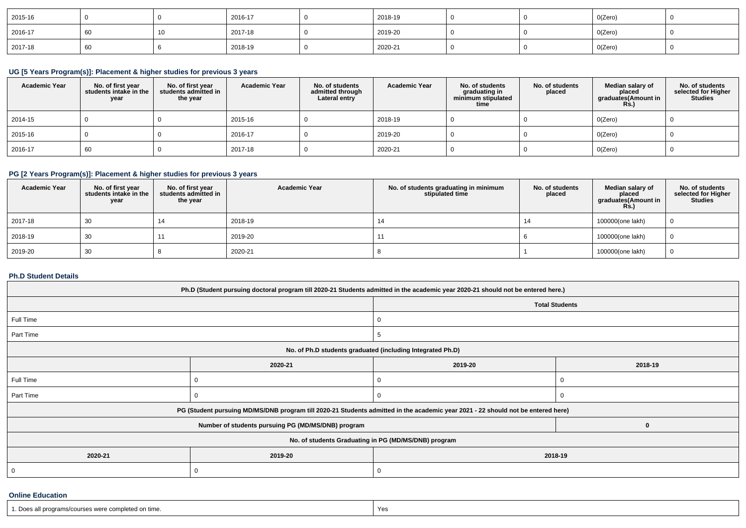| 2015-16 |  | 2016-17 | 2018-19 |  | 0(Zero) |  |
|---------|--|---------|---------|--|---------|--|
| 2016-17 |  | 2017-18 | 2019-20 |  | O(Zero) |  |
| 2017-18 |  | 2018-19 | 2020-21 |  | 0(Zero) |  |

# **UG [5 Years Program(s)]: Placement & higher studies for previous 3 years**

| <b>Academic Year</b> | No. of first year<br>students intake in the<br>year | No. of first vear<br>students admitted in<br>the year | <b>Academic Year</b> | No. of students<br>admitted through<br>Lateral entry | <b>Academic Year</b> | No. of students<br>graduating in<br>minimum stipulated<br>time | No. of students<br>placed | Median salary of<br>placed<br>graduates(Amount in<br><b>Rs.)</b> | No. of students<br>selected for Higher<br><b>Studies</b> |
|----------------------|-----------------------------------------------------|-------------------------------------------------------|----------------------|------------------------------------------------------|----------------------|----------------------------------------------------------------|---------------------------|------------------------------------------------------------------|----------------------------------------------------------|
| 2014-15              |                                                     |                                                       | 2015-16              |                                                      | 2018-19              |                                                                |                           | O(Zero)                                                          |                                                          |
| 2015-16              |                                                     |                                                       | 2016-17              |                                                      | 2019-20              |                                                                |                           | O(Zero)                                                          |                                                          |
| 2016-17              | 60                                                  |                                                       | 2017-18              |                                                      | 2020-21              |                                                                |                           | O(Zero)                                                          |                                                          |

# **PG [2 Years Program(s)]: Placement & higher studies for previous 3 years**

| <b>Academic Year</b> | No. of first year<br>students intake in the<br>year | No. of first vear<br>students admitted in<br>the year | <b>Academic Year</b> | No. of students graduating in minimum<br>stipulated time | No. of students<br>placed | Median salary of<br>placed<br>graduates(Amount in<br><b>Rs.</b> ) | No. of students<br>selected for Higher<br><b>Studies</b> |
|----------------------|-----------------------------------------------------|-------------------------------------------------------|----------------------|----------------------------------------------------------|---------------------------|-------------------------------------------------------------------|----------------------------------------------------------|
| 2017-18              | 30                                                  |                                                       | 2018-19              | 14                                                       |                           | 100000(one lakh)                                                  | $\overline{0}$                                           |
| 2018-19              | 30                                                  |                                                       | 2019-20              |                                                          |                           | 100000(one lakh)                                                  | $\overline{0}$                                           |
| 2019-20              | 30                                                  |                                                       | 2020-21              |                                                          |                           | 100000(one lakh)                                                  | $\overline{0}$                                           |

### **Ph.D Student Details**

| Ph.D (Student pursuing doctoral program till 2020-21 Students admitted in the academic year 2020-21 should not be entered here.) |                                                                                                                                  |                       |          |  |  |  |  |
|----------------------------------------------------------------------------------------------------------------------------------|----------------------------------------------------------------------------------------------------------------------------------|-----------------------|----------|--|--|--|--|
|                                                                                                                                  |                                                                                                                                  | <b>Total Students</b> |          |  |  |  |  |
| Full Time                                                                                                                        |                                                                                                                                  | 0                     |          |  |  |  |  |
| Part Time                                                                                                                        |                                                                                                                                  | 5                     |          |  |  |  |  |
| No. of Ph.D students graduated (including Integrated Ph.D)                                                                       |                                                                                                                                  |                       |          |  |  |  |  |
|                                                                                                                                  | 2020-21                                                                                                                          | 2019-20               | 2018-19  |  |  |  |  |
| Full Time                                                                                                                        |                                                                                                                                  |                       |          |  |  |  |  |
| Part Time                                                                                                                        |                                                                                                                                  | $\Omega$              |          |  |  |  |  |
|                                                                                                                                  | PG (Student pursuing MD/MS/DNB program till 2020-21 Students admitted in the academic year 2021 - 22 should not be entered here) |                       |          |  |  |  |  |
|                                                                                                                                  | Number of students pursuing PG (MD/MS/DNB) program                                                                               |                       | $\Omega$ |  |  |  |  |
| No. of students Graduating in PG (MD/MS/DNB) program                                                                             |                                                                                                                                  |                       |          |  |  |  |  |
| 2020-21                                                                                                                          | 2019-20                                                                                                                          | 2018-19               |          |  |  |  |  |
|                                                                                                                                  | C                                                                                                                                | 0                     |          |  |  |  |  |

#### **Online Education**

| 1. Does all programs/courses were completed on time.                             | Yes |
|----------------------------------------------------------------------------------|-----|
| ,我们也不能会在这里,我们的时候,我们也不能会在这里,我们也不能会不能会不能会不能会不能会不能会不能会。""我们的时候,我们也不能会不能会不能会不能会不能会不能 |     |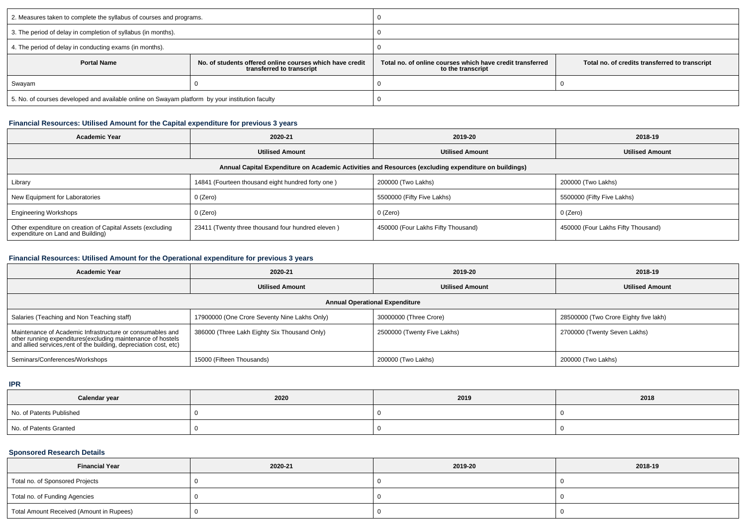| 2. Measures taken to complete the syllabus of courses and programs.                             |                                                                                       |                                                                                |                                                |  |  |
|-------------------------------------------------------------------------------------------------|---------------------------------------------------------------------------------------|--------------------------------------------------------------------------------|------------------------------------------------|--|--|
| 3. The period of delay in completion of syllabus (in months).                                   |                                                                                       |                                                                                |                                                |  |  |
| 4. The period of delay in conducting exams (in months).                                         |                                                                                       |                                                                                |                                                |  |  |
| <b>Portal Name</b>                                                                              | No. of students offered online courses which have credit<br>transferred to transcript | Total no, of online courses which have credit transferred<br>to the transcript | Total no. of credits transferred to transcript |  |  |
| Swayam                                                                                          |                                                                                       |                                                                                |                                                |  |  |
| 5. No. of courses developed and available online on Swayam platform by your institution faculty |                                                                                       |                                                                                |                                                |  |  |

### **Financial Resources: Utilised Amount for the Capital expenditure for previous 3 years**

| <b>Academic Year</b>                                                                                 | 2020-21                                           | 2019-20                            | 2018-19                            |  |  |  |  |  |
|------------------------------------------------------------------------------------------------------|---------------------------------------------------|------------------------------------|------------------------------------|--|--|--|--|--|
|                                                                                                      | <b>Utilised Amount</b>                            | <b>Utilised Amount</b>             | <b>Utilised Amount</b>             |  |  |  |  |  |
| Annual Capital Expenditure on Academic Activities and Resources (excluding expenditure on buildings) |                                                   |                                    |                                    |  |  |  |  |  |
| Library                                                                                              | 14841 (Fourteen thousand eight hundred forty one) | 200000 (Two Lakhs)                 | 200000 (Two Lakhs)                 |  |  |  |  |  |
| New Equipment for Laboratories                                                                       | 0 (Zero)                                          | 5500000 (Fifty Five Lakhs)         | 5500000 (Fifty Five Lakhs)         |  |  |  |  |  |
| <b>Engineering Workshops</b>                                                                         | 0 (Zero)                                          | 0 (Zero)                           | 0 (Zero)                           |  |  |  |  |  |
| Other expenditure on creation of Capital Assets (excluding<br>expenditure on Land and Building)      | 23411 (Twenty three thousand four hundred eleven) | 450000 (Four Lakhs Fifty Thousand) | 450000 (Four Lakhs Fifty Thousand) |  |  |  |  |  |

# **Financial Resources: Utilised Amount for the Operational expenditure for previous 3 years**

| <b>Academic Year</b>                                                                                                                                                                           | 2020-21                                      | 2019-20                     | 2018-19                               |  |  |  |  |  |
|------------------------------------------------------------------------------------------------------------------------------------------------------------------------------------------------|----------------------------------------------|-----------------------------|---------------------------------------|--|--|--|--|--|
|                                                                                                                                                                                                | <b>Utilised Amount</b>                       | <b>Utilised Amount</b>      | <b>Utilised Amount</b>                |  |  |  |  |  |
| <b>Annual Operational Expenditure</b>                                                                                                                                                          |                                              |                             |                                       |  |  |  |  |  |
| Salaries (Teaching and Non Teaching staff)                                                                                                                                                     | 17900000 (One Crore Seventy Nine Lakhs Only) | 30000000 (Three Crore)      | 28500000 (Two Crore Eighty five lakh) |  |  |  |  |  |
| Maintenance of Academic Infrastructure or consumables and<br>other running expenditures(excluding maintenance of hostels<br>and allied services, rent of the building, depreciation cost, etc) | 386000 (Three Lakh Eighty Six Thousand Only) | 2500000 (Twenty Five Lakhs) | 2700000 (Twenty Seven Lakhs)          |  |  |  |  |  |
| Seminars/Conferences/Workshops                                                                                                                                                                 | 15000 (Fifteen Thousands)                    | 200000 (Two Lakhs)          | 200000 (Two Lakhs)                    |  |  |  |  |  |

**IPR**

| Calendar year            | 2020 | 2019 | 2018 |  |
|--------------------------|------|------|------|--|
| No. of Patents Published |      |      |      |  |
| No. of Patents Granted   |      |      |      |  |

# **Sponsored Research Details**

| <b>Financial Year</b>                    | 2020-21 | 2019-20 | 2018-19 |
|------------------------------------------|---------|---------|---------|
| Total no. of Sponsored Projects          |         |         |         |
| Total no. of Funding Agencies            |         |         |         |
| Total Amount Received (Amount in Rupees) |         |         |         |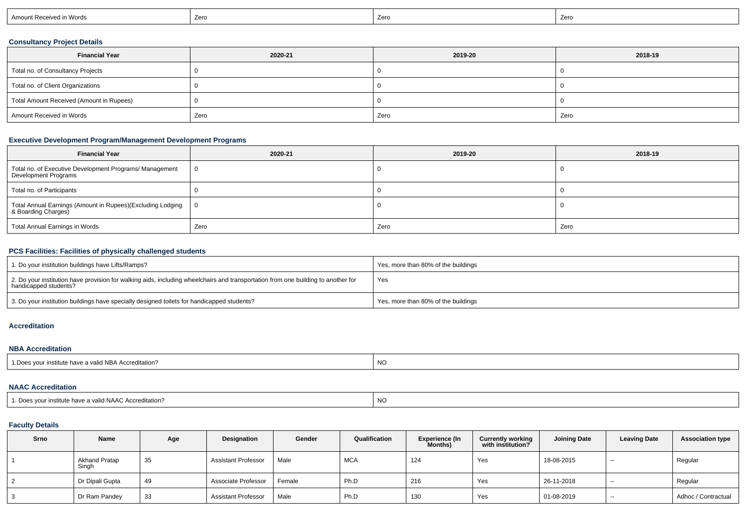| ceived in Words<br>Amo<br>ъ. | Zero | Zero | Zero |
|------------------------------|------|------|------|
|                              |      |      |      |

# **Consultancy Project Details**

| <b>Financial Year</b>                    | 2020-21 | 2019-20 | 2018-19 |
|------------------------------------------|---------|---------|---------|
| Total no. of Consultancy Projects        |         |         |         |
| Total no. of Client Organizations        |         |         |         |
| Total Amount Received (Amount in Rupees) |         |         |         |
| Amount Received in Words                 | Zero    | Zero    | Zero    |

# **Executive Development Program/Management Development Programs**

| <b>Financial Year</b>                                                             | 2020-21  | 2019-20 | 2018-19 |
|-----------------------------------------------------------------------------------|----------|---------|---------|
| Total no. of Executive Development Programs/ Management<br>Development Programs   | $\Omega$ |         |         |
| Total no. of Participants                                                         |          |         |         |
| Total Annual Earnings (Amount in Rupees)(Excluding Lodging<br>& Boarding Charges) | - 0      |         |         |
| Total Annual Earnings in Words                                                    | Zero     | Zero    | Zero    |

# **PCS Facilities: Facilities of physically challenged students**

| 1. Do your institution buildings have Lifts/Ramps?                                                                                                         | Yes, more than 80% of the buildings |
|------------------------------------------------------------------------------------------------------------------------------------------------------------|-------------------------------------|
| 2. Do your institution have provision for walking aids, including wheelchairs and transportation from one building to another for<br>handicapped students? | Yes                                 |
| 3. Do your institution buildings have specially designed toilets for handicapped students?                                                                 | Yes, more than 80% of the buildings |

#### **Accreditation**

#### **NBA Accreditation**

| 1. Does vour institute have a valid NBA Accreditation? | NO |
|--------------------------------------------------------|----|
|                                                        |    |

#### **NAAC Accreditation**

| 1. Does vour institute have a valid NAAC Accreditation? | N<br>טיי |
|---------------------------------------------------------|----------|
|---------------------------------------------------------|----------|

# **Faculty Details**

| <b>Srno</b> | Name                   | Age | Designation                | Gender | Qualification | <b>Experience (In</b><br>Months) | <b>Currently working</b><br>with institution? | <b>Joining Date</b> | <b>Leaving Date</b> | <b>Association type</b> |
|-------------|------------------------|-----|----------------------------|--------|---------------|----------------------------------|-----------------------------------------------|---------------------|---------------------|-------------------------|
|             | Akhand Pratap<br>Singh | 35  | <b>Assistant Professor</b> | Male   | <b>MCA</b>    | 124                              | Yes                                           | 18-08-2015          | $- -$               | Regular                 |
|             | Dr Dipali Gupta        | 49  | Associate Professor        | Female | Ph.D          | 216                              | Yes                                           | 26-11-2018          | $\sim$              | Regular                 |
|             | Dr Ram Pandey          | 33  | <b>Assistant Professor</b> | Male   | Ph.D          | 130                              | Yes                                           | 01-08-2019          | $- -$               | Adhoc / Contractual     |